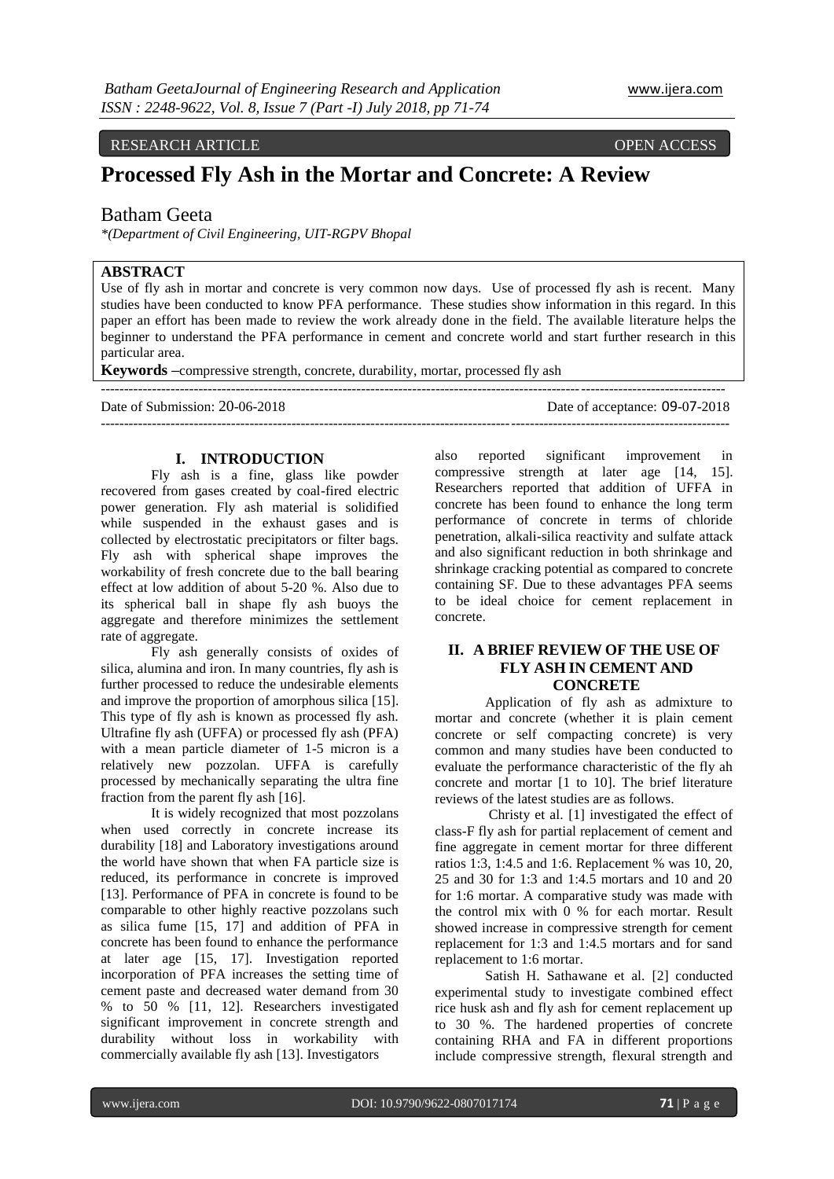## RESEARCH ARTICLE OPEN ACCESS

# **Processed Fly Ash in the Mortar and Concrete: A Review**

## Batham Geeta

*\*(Department of Civil Engineering, UIT-RGPV Bhopal*

## **ABSTRACT**

Use of fly ash in mortar and concrete is very common now days. Use of processed fly ash is recent. Many studies have been conducted to know PFA performance. These studies show information in this regard. In this paper an effort has been made to review the work already done in the field. The available literature helps the beginner to understand the PFA performance in cement and concrete world and start further research in this particular area.

--------------------------------------------------------------------------------------------------------------------------------------

---------------------------------------------------------------------------------------------------------------------------------------

**Keywords –**compressive strength, concrete, durability, mortar, processed fly ash

Date of Submission: 20-06-2018 Date of acceptance: 09-07-2018

#### **I. INTRODUCTION**

Fly ash is a fine, glass like powder recovered from gases created by coal-fired electric power generation. Fly ash material is solidified while suspended in the exhaust gases and is collected by electrostatic precipitators or filter bags. Fly ash with spherical shape improves the workability of fresh concrete due to the ball bearing effect at low addition of about 5-20 %. Also due to its spherical ball in shape fly ash buoys the aggregate and therefore minimizes the settlement rate of aggregate.

Fly ash generally consists of oxides of silica, alumina and iron. In many countries, fly ash is further processed to reduce the undesirable elements and improve the proportion of amorphous silica [15]. This type of fly ash is known as processed fly ash. Ultrafine fly ash (UFFA) or processed fly ash (PFA) with a mean particle diameter of 1-5 micron is a relatively new pozzolan. UFFA is carefully processed by mechanically separating the ultra fine fraction from the parent fly ash [16].

It is widely recognized that most pozzolans when used correctly in concrete increase its durability [18] and Laboratory investigations around the world have shown that when FA particle size is reduced, its performance in concrete is improved [13]. Performance of PFA in concrete is found to be comparable to other highly reactive pozzolans such as silica fume [15, 17] and addition of PFA in concrete has been found to enhance the performance at later age [15, 17]. Investigation reported incorporation of PFA increases the setting time of cement paste and decreased water demand from 30 % to 50 % [11, 12]. Researchers investigated significant improvement in concrete strength and durability without loss in workability with commercially available fly ash [13]. Investigators

also reported significant improvement in compressive strength at later age [14, 15]. Researchers reported that addition of UFFA in concrete has been found to enhance the long term performance of concrete in terms of chloride penetration, alkali-silica reactivity and sulfate attack and also significant reduction in both shrinkage and shrinkage cracking potential as compared to concrete containing SF. Due to these advantages PFA seems to be ideal choice for cement replacement in concrete.

#### **II. A BRIEF REVIEW OF THE USE OF FLY ASH IN CEMENT AND CONCRETE**

Application of fly ash as admixture to mortar and concrete (whether it is plain cement concrete or self compacting concrete) is very common and many studies have been conducted to evaluate the performance characteristic of the fly ah concrete and mortar [1 to 10]. The brief literature reviews of the latest studies are as follows.

Christy et al. [1] investigated the effect of class-F fly ash for partial replacement of cement and fine aggregate in cement mortar for three different ratios 1:3, 1:4.5 and 1:6. Replacement % was 10, 20, 25 and 30 for 1:3 and 1:4.5 mortars and 10 and 20 for 1:6 mortar. A comparative study was made with the control mix with 0 % for each mortar. Result showed increase in compressive strength for cement replacement for 1:3 and 1:4.5 mortars and for sand replacement to 1:6 mortar.

Satish H. Sathawane et al. [2] conducted experimental study to investigate combined effect rice husk ash and fly ash for cement replacement up to 30 %. The hardened properties of concrete containing RHA and FA in different proportions include compressive strength, flexural strength and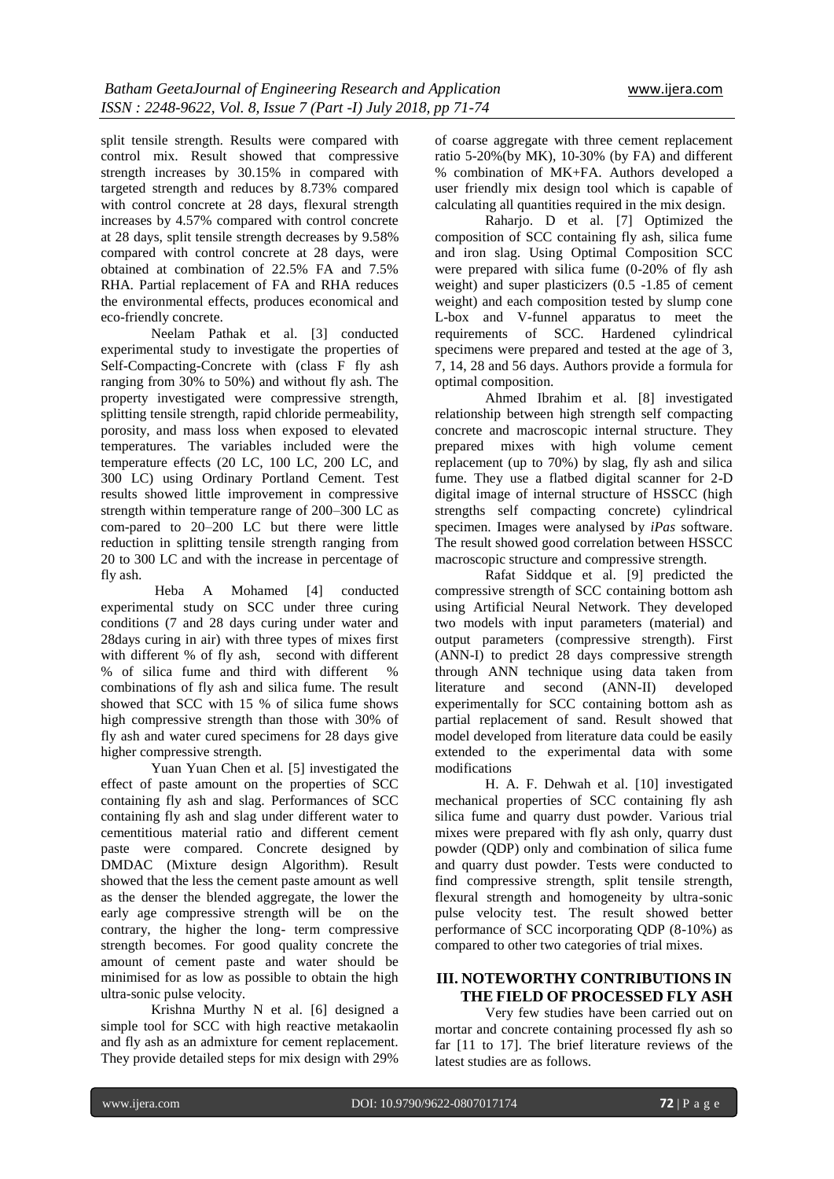split tensile strength. Results were compared with control mix. Result showed that compressive strength increases by 30.15% in compared with targeted strength and reduces by 8.73% compared with control concrete at 28 days, flexural strength increases by 4.57% compared with control concrete at 28 days, split tensile strength decreases by 9.58% compared with control concrete at 28 days, were obtained at combination of 22.5% FA and 7.5% RHA. Partial replacement of FA and RHA reduces the environmental effects, produces economical and eco-friendly concrete.

Neelam Pathak et al. [3] conducted experimental study to investigate the properties of Self-Compacting-Concrete with (class F fly ash ranging from 30% to 50%) and without fly ash. The property investigated were compressive strength, splitting tensile strength, rapid chloride permeability, porosity, and mass loss when exposed to elevated temperatures. The variables included were the temperature effects (20 LC, 100 LC, 200 LC, and 300 LC) using Ordinary Portland Cement. Test results showed little improvement in compressive strength within temperature range of 200–300 LC as com-pared to 20–200 LC but there were little reduction in splitting tensile strength ranging from 20 to 300 LC and with the increase in percentage of fly ash.

Heba A Mohamed [4] conducted experimental study on SCC under three curing conditions (7 and 28 days curing under water and 28days curing in air) with three types of mixes first with different % of fly ash, second with different % of silica fume and third with different % combinations of fly ash and silica fume. The result showed that SCC with 15 % of silica fume shows high compressive strength than those with 30% of fly ash and water cured specimens for 28 days give higher compressive strength.

Yuan Yuan Chen et al. [5] investigated the effect of paste amount on the properties of SCC containing fly ash and slag. Performances of SCC containing fly ash and slag under different water to cementitious material ratio and different cement paste were compared. Concrete designed by DMDAC (Mixture design Algorithm). Result showed that the less the cement paste amount as well as the denser the blended aggregate, the lower the early age compressive strength will be on the contrary, the higher the long- term compressive strength becomes. For good quality concrete the amount of cement paste and water should be minimised for as low as possible to obtain the high ultra-sonic pulse velocity.

Krishna Murthy N et al. [6] designed a simple tool for SCC with high reactive metakaolin and fly ash as an admixture for cement replacement. They provide detailed steps for mix design with 29%

of coarse aggregate with three cement replacement ratio 5-20%(by MK), 10-30% (by FA) and different % combination of MK+FA. Authors developed a user friendly mix design tool which is capable of calculating all quantities required in the mix design.

Raharjo. D et al. [7] Optimized the composition of SCC containing fly ash, silica fume and iron slag. Using Optimal Composition SCC were prepared with silica fume (0-20% of fly ash weight) and super plasticizers (0.5 -1.85 of cement weight) and each composition tested by slump cone L-box and V-funnel apparatus to meet the requirements of SCC. Hardened cylindrical specimens were prepared and tested at the age of 3, 7, 14, 28 and 56 days. Authors provide a formula for optimal composition.

Ahmed Ibrahim et al. [8] investigated relationship between high strength self compacting concrete and macroscopic internal structure. They prepared mixes with high volume cement replacement (up to 70%) by slag, fly ash and silica fume. They use a flatbed digital scanner for 2-D digital image of internal structure of HSSCC (high strengths self compacting concrete) cylindrical specimen. Images were analysed by *iPas* software. The result showed good correlation between HSSCC macroscopic structure and compressive strength.

Rafat Siddque et al. [9] predicted the compressive strength of SCC containing bottom ash using Artificial Neural Network. They developed two models with input parameters (material) and output parameters (compressive strength). First (ANN-I) to predict 28 days compressive strength through ANN technique using data taken from literature and second (ANN-II) developed experimentally for SCC containing bottom ash as partial replacement of sand. Result showed that model developed from literature data could be easily extended to the experimental data with some modifications

H. A. F. Dehwah et al. [10] investigated mechanical properties of SCC containing fly ash silica fume and quarry dust powder. Various trial mixes were prepared with fly ash only, quarry dust powder (QDP) only and combination of silica fume and quarry dust powder. Tests were conducted to find compressive strength, split tensile strength, flexural strength and homogeneity by ultra-sonic pulse velocity test. The result showed better performance of SCC incorporating QDP (8-10%) as compared to other two categories of trial mixes.

#### **III. NOTEWORTHY CONTRIBUTIONS IN THE FIELD OF PROCESSED FLY ASH**

Very few studies have been carried out on mortar and concrete containing processed fly ash so far [11 to 17]. The brief literature reviews of the latest studies are as follows.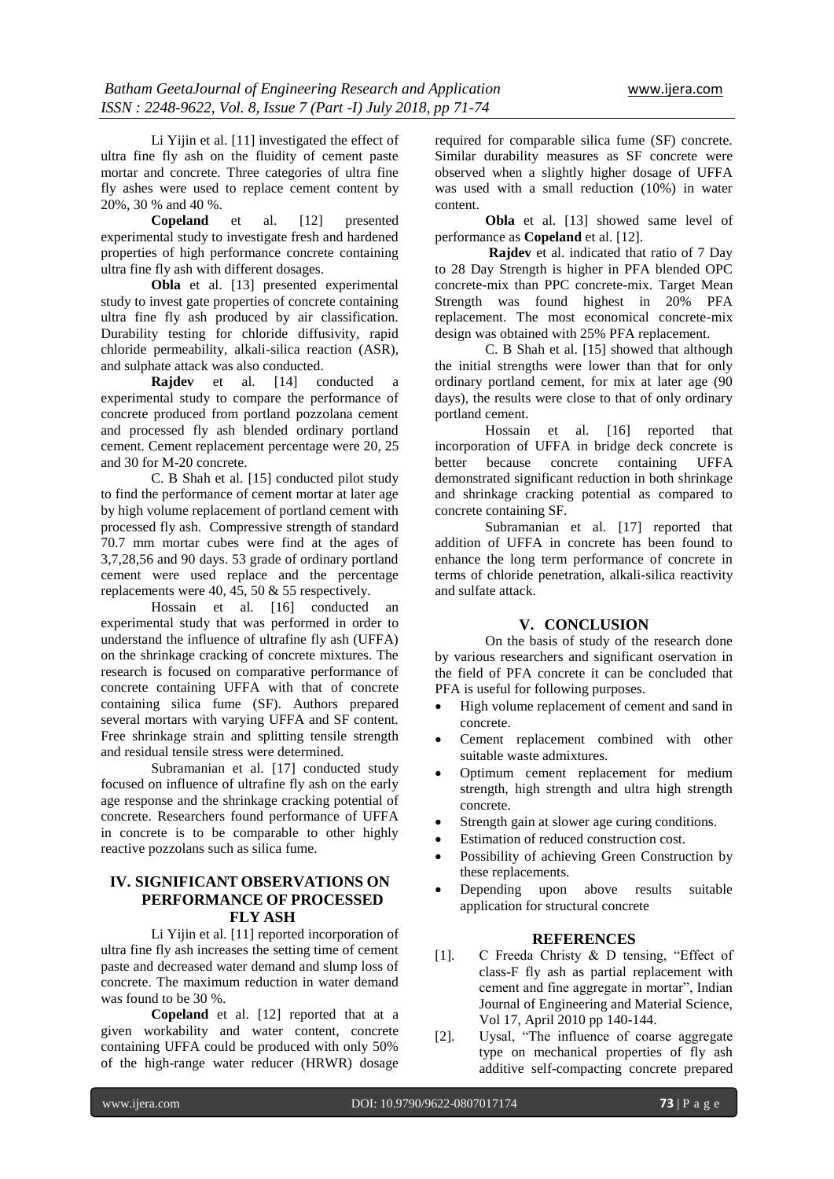Li Yijin et al. [11] investigated the effect of ultra fine fly ash on the fluidity of cement paste mortar and concrete. Three categories of ultra fine fly ashes were used to replace cement content by 20%, 30 % and 40 %.

**Copeland** et al. [12] presented experimental study to investigate fresh and hardened properties of high performance concrete containing ultra fine fly ash with different dosages.

**Obla** et al. [13] presented experimental study to invest gate properties of concrete containing ultra fine fly ash produced by air classification. Durability testing for chloride diffusivity, rapid chloride permeability, alkali-silica reaction (ASR), and sulphate attack was also conducted.<br> **Raidev** et al. [14] co

**Figure 141** conducted a experimental study to compare the performance of concrete produced from portland pozzolana cement and processed fly ash blended ordinary portland cement. Cement replacement percentage were 20, 25 and 30 for M-20 concrete.

C. B Shah et al. [15] conducted pilot study to find the performance of cement mortar at later age by high volume replacement of portland cement with processed fly ash. Compressive strength of standard 70.7 mm mortar cubes were find at the ages of 3,7,28,56 and 90 days. 53 grade of ordinary portland cement were used replace and the percentage replacements were 40,  $45, 50 \& 55$  respectively.

Hossain et al. [16] conducted an experimental study that was performed in order to understand the influence of ultrafine fly ash (UFFA) on the shrinkage cracking of concrete mixtures. The research is focused on comparative performance of concrete containing UFFA with that of concrete containing silica fume (SF). Authors prepared several mortars with varying UFFA and SF content. Free shrinkage strain and splitting tensile strength and residual tensile stress were determined.

Subramanian et al. [17] conducted study focused on influence of ultrafine fly ash on the early age response and the shrinkage cracking potential of concrete. Researchers found performance of UFFA in concrete is to be comparable to other highly reactive pozzolans such as silica fume.

## **IV. SIGNIFICANT OBSERVATIONS ON PERFORMANCE OF PROCESSED FLY ASH**

Li Yijin et al. [11] reported incorporation of ultra fine fly ash increases the setting time of cement paste and decreased water demand and slump loss of concrete. The maximum reduction in water demand was found to be 30 %.

**Copeland** et al. [12] reported that at a given workability and water content, concrete containing UFFA could be produced with only 50% of the high-range water reducer (HRWR) dosage

required for comparable silica fume (SF) concrete. Similar durability measures as SF concrete were observed when a slightly higher dosage of UFFA was used with a small reduction (10%) in water content.

**Obla** et al. [13] showed same level of performance as **Copeland** et al. [12].

**Rajdev** et al. indicated that ratio of 7 Day to 28 Day Strength is higher in PFA blended OPC concrete-mix than PPC concrete-mix. Target Mean Strength was found highest in 20% PFA replacement. The most economical concrete-mix design was obtained with 25% PFA replacement.

C. B Shah et al. [15] showed that although the initial strengths were lower than that for only ordinary portland cement, for mix at later age (90 days), the results were close to that of only ordinary portland cement.

Hossain et al. [16] reported that incorporation of UFFA in bridge deck concrete is better because concrete containing UFFA demonstrated significant reduction in both shrinkage and shrinkage cracking potential as compared to concrete containing SF.

Subramanian et al. [17] reported that addition of UFFA in concrete has been found to enhance the long term performance of concrete in terms of chloride penetration, alkali-silica reactivity and sulfate attack.

#### **V. CONCLUSION**

On the basis of study of the research done by various researchers and significant oservation in the field of PFA concrete it can be concluded that PFA is useful for following purposes.

- High volume replacement of cement and sand in concrete.
- Cement replacement combined with other suitable waste admixtures.
- Optimum cement replacement for medium strength, high strength and ultra high strength concrete.
- Strength gain at slower age curing conditions.
- Estimation of reduced construction cost.
- Possibility of achieving Green Construction by these replacements.
- Depending upon above results suitable application for structural concrete

#### **REFERENCES**

- [1]. C Freeda Christy & D tensing, "Effect of class-F fly ash as partial replacement with cement and fine aggregate in mortar", Indian Journal of Engineering and Material Science, Vol 17, April 2010 pp 140-144.
- [2]. Uysal, "The influence of coarse aggregate type on mechanical properties of fly ash additive self-compacting concrete prepared